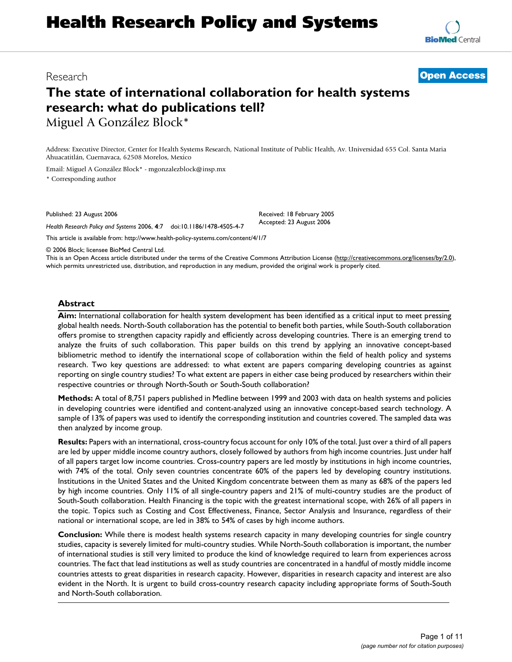# Research **[Open Access](http://www.biomedcentral.com/info/about/charter/)**

# **The state of international collaboration for health systems research: what do publications tell?** Miguel A González Block\*

Address: Executive Director, Center for Health Systems Research, National Institute of Public Health, Av. Universidad 655 Col. Santa Maria Ahuacatitlán, Cuernavaca, 62508 Morelos, Mexico

Email: Miguel A González Block\* - mgonzalezblock@insp.mx \* Corresponding author

Published: 23 August 2006

*Health Research Policy and Systems* 2006, **4**:7 doi:10.1186/1478-4505-4-7

[This article is available from: http://www.health-policy-systems.com/content/4/1/7](http://www.health-policy-systems.com/content/4/1/7)

© 2006 Block; licensee BioMed Central Ltd.

This is an Open Access article distributed under the terms of the Creative Commons Attribution License [\(http://creativecommons.org/licenses/by/2.0\)](http://creativecommons.org/licenses/by/2.0), which permits unrestricted use, distribution, and reproduction in any medium, provided the original work is properly cited.

Received: 18 February 2005 Accepted: 23 August 2006

## **Abstract**

**Aim:** International collaboration for health system development has been identified as a critical input to meet pressing global health needs. North-South collaboration has the potential to benefit both parties, while South-South collaboration offers promise to strengthen capacity rapidly and efficiently across developing countries. There is an emerging trend to analyze the fruits of such collaboration. This paper builds on this trend by applying an innovative concept-based bibliometric method to identify the international scope of collaboration within the field of health policy and systems research. Two key questions are addressed: to what extent are papers comparing developing countries as against reporting on single country studies? To what extent are papers in either case being produced by researchers within their respective countries or through North-South or South-South collaboration?

**Methods:** A total of 8,751 papers published in Medline between 1999 and 2003 with data on health systems and policies in developing countries were identified and content-analyzed using an innovative concept-based search technology. A sample of 13% of papers was used to identify the corresponding institution and countries covered. The sampled data was then analyzed by income group.

**Results:** Papers with an international, cross-country focus account for only 10% of the total. Just over a third of all papers are led by upper middle income country authors, closely followed by authors from high income countries. Just under half of all papers target low income countries. Cross-country papers are led mostly by institutions in high income countries, with 74% of the total. Only seven countries concentrate 60% of the papers led by developing country institutions. Institutions in the United States and the United Kingdom concentrate between them as many as 68% of the papers led by high income countries. Only 11% of all single-country papers and 21% of multi-country studies are the product of South-South collaboration. Health Financing is the topic with the greatest international scope, with 26% of all papers in the topic. Topics such as Costing and Cost Effectiveness, Finance, Sector Analysis and Insurance, regardless of their national or international scope, are led in 38% to 54% of cases by high income authors.

**Conclusion:** While there is modest health systems research capacity in many developing countries for single country studies, capacity is severely limited for multi-country studies. While North-South collaboration is important, the number of international studies is still very limited to produce the kind of knowledge required to learn from experiences across countries. The fact that lead institutions as well as study countries are concentrated in a handful of mostly middle income countries attests to great disparities in research capacity. However, disparities in research capacity and interest are also evident in the North. It is urgent to build cross-country research capacity including appropriate forms of South-South and North-South collaboration.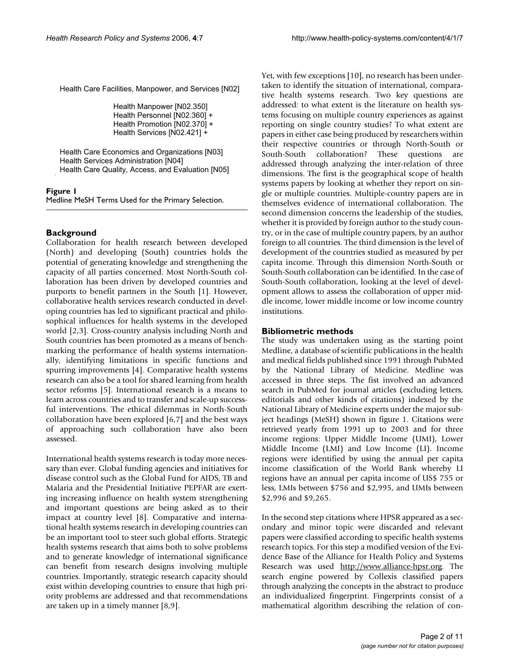Health Care Facilities, Manpower, and Services [N02]

 Health Manpower [N02.350] Health Personnel [N02.360] + Health Promotion [N02.370] + Health Services [N02.421] +

Health Care Economics and Organizations [N03] Health Services Administration [N04] Health Care Quality, Access, and Evaluation [N05]

### **Figure 1**

Medline MeSH Terms Used for the Primary Selection.

## **Background**

Collaboration for health research between developed (North) and developing (South) countries holds the potential of generating knowledge and strengthening the capacity of all parties concerned. Most North-South collaboration has been driven by developed countries and purports to benefit partners in the South [1]. However, collaborative health services research conducted in developing countries has led to significant practical and philosophical influences for health systems in the developed world [2,3]. Cross-country analysis including North and South countries has been promoted as a means of benchmarking the performance of health systems internationally, identifying limitations in specific functions and spurring improvements [4]. Comparative health systems research can also be a tool for shared learning from health sector reforms [5]. International research is a means to learn across countries and to transfer and scale-up successful interventions. The ethical dilemmas in North-South collaboration have been explored [6,7] and the best ways of approaching such collaboration have also been assessed.

International health systems research is today more necessary than ever. Global funding agencies and initiatives for disease control such as the Global Fund for AIDS, TB and Malaria and the Presidential Initiative PEPFAR are exerting increasing influence on health system strengthening and important questions are being asked as to their impact at country level [8]. Comparative and international health systems research in developing countries can be an important tool to steer such global efforts. Strategic health systems research that aims both to solve problems and to generate knowledge of international significance can benefit from research designs involving multiple countries. Importantly, strategic research capacity should exist within developing countries to ensure that high priority problems are addressed and that recommendations are taken up in a timely manner [8,9].

Yet, with few exceptions [10], no research has been undertaken to identify the situation of international, comparative health systems research. Two key questions are addressed: to what extent is the literature on health systems focusing on multiple country experiences as against reporting on single country studies? To what extent are papers in either case being produced by researchers within their respective countries or through North-South or South-South collaboration? These questions are addressed through analyzing the inter-relation of three dimensions. The first is the geographical scope of health systems papers by looking at whether they report on single or multiple countries. Multiple-country papers are in themselves evidence of international collaboration. The second dimension concerns the leadership of the studies, whether it is provided by foreign author to the study country, or in the case of multiple country papers, by an author foreign to all countries. The third dimension is the level of development of the countries studied as measured by per capita income. Through this dimension North-South or South-South collaboration can be identified. In the case of South-South collaboration, looking at the level of development allows to assess the collaboration of upper middle income, lower middle income or low income country institutions.

## **Bibliometric methods**

The study was undertaken using as the starting point Medline, a database of scientific publications in the health and medical fields published since 1991 through PubMed by the National Library of Medicine. Medline was accessed in three steps. The fist involved an advanced search in PubMed for journal articles (excluding letters, editorials and other kinds of citations) indexed by the National Library of Medicine experts under the major subject headings (MeSH) shown in figure 1. Citations were retrieved yearly from 1991 up to 2003 and for three income regions: Upper Middle Income (UMI), Lower Middle Income (LMI) and Low Income (LI). Income regions were identified by using the annual per capita income classification of the World Bank whereby LI regions have an annual per capita income of US\$ 755 or less, LMIs between \$756 and \$2,995, and UMIs between \$2,996 and \$9,265.

In the second step citations where HPSR appeared as a secondary and minor topic were discarded and relevant papers were classified according to specific health systems research topics. For this step a modified version of the Evidence Base of the Alliance for Health Policy and Systems Research was used [http://www.alliance-hpsr.org.](http://www.alliance-hpsr.org) The search engine powered by Collexis classified papers through analyzing the concepts in the abstract to produce an individualized fingerprint. Fingerprints consist of a mathematical algorithm describing the relation of con-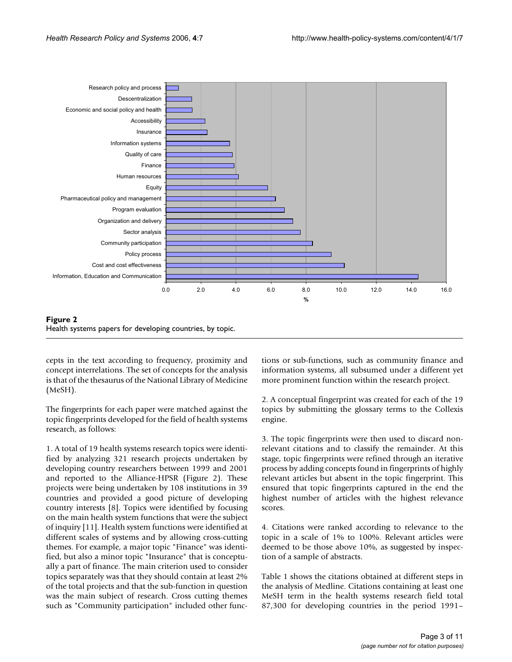

Figure 2 Health systems papers for developing countries, by topic.

cepts in the text according to frequency, proximity and concept interrelations. The set of concepts for the analysis is that of the thesaurus of the National Library of Medicine (MeSH).

The fingerprints for each paper were matched against the topic fingerprints developed for the field of health systems research, as follows:

1. A total of 19 health systems research topics were identified by analyzing 321 research projects undertaken by developing country researchers between 1999 and 2001 and reported to the Alliance-HPSR (Figure 2). These projects were being undertaken by 108 institutions in 39 countries and provided a good picture of developing country interests [8]. Topics were identified by focusing on the main health system functions that were the subject of inquiry [11]. Health system functions were identified at different scales of systems and by allowing cross-cutting themes. For example, a major topic "Finance" was identified, but also a minor topic "Insurance" that is conceptually a part of finance. The main criterion used to consider topics separately was that they should contain at least 2% of the total projects and that the sub-function in question was the main subject of research. Cross cutting themes such as "Community participation" included other functions or sub-functions, such as community finance and information systems, all subsumed under a different yet more prominent function within the research project.

2. A conceptual fingerprint was created for each of the 19 topics by submitting the glossary terms to the Collexis engine.

3. The topic fingerprints were then used to discard nonrelevant citations and to classify the remainder. At this stage, topic fingerprints were refined through an iterative process by adding concepts found in fingerprints of highly relevant articles but absent in the topic fingerprint. This ensured that topic fingerprints captured in the end the highest number of articles with the highest relevance scores.

4. Citations were ranked according to relevance to the topic in a scale of 1% to 100%. Relevant articles were deemed to be those above 10%, as suggested by inspection of a sample of abstracts.

Table 1 shows the citations obtained at different steps in the analysis of Medline. Citations containing at least one MeSH term in the health systems research field total 87,300 for developing countries in the period 1991–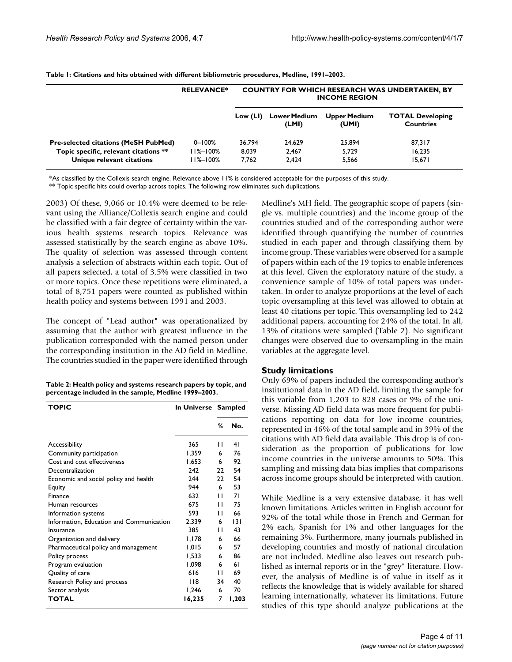|                                             | <b>RELEVANCE*</b> | <b>COUNTRY FOR WHICH RESEARCH WAS UNDERTAKEN, BY</b><br><b>INCOME REGION</b> |                              |                       |                                             |  |  |  |  |  |
|---------------------------------------------|-------------------|------------------------------------------------------------------------------|------------------------------|-----------------------|---------------------------------------------|--|--|--|--|--|
|                                             |                   | Low (LI)                                                                     | <b>Lower Medium</b><br>(LMI) | Upper Medium<br>(UMI) | <b>TOTAL Developing</b><br><b>Countries</b> |  |  |  |  |  |
| <b>Pre-selected citations (MeSH PubMed)</b> | $0 - 100%$        | 36.794                                                                       | 24.629                       | 25,894                | 87.317                                      |  |  |  |  |  |
| Topic specific, relevant citations **       | $11\% - 100\%$    | 8.039                                                                        | 2.467                        | 5.729                 | 16,235                                      |  |  |  |  |  |
| Unique relevant citations                   | $11\% - 100\%$    | 7.762                                                                        | 2.424                        | 5.566                 | 15,671                                      |  |  |  |  |  |

**Table 1: Citations and hits obtained with different bibliometric procedures, Medline, 1991–2003.**

\*As classified by the Collexis search engine. Relevance above 11% is considered acceptable for the purposes of this study.

 $**$  Topic specific hits could overlap across topics. The following row eliminates such duplications.

2003) Of these, 9,066 or 10.4% were deemed to be relevant using the Alliance/Collexis search engine and could be classified with a fair degree of certainty within the various health systems research topics. Relevance was assessed statistically by the search engine as above 10%. The quality of selection was assessed through content analysis a selection of abstracts within each topic. Out of all papers selected, a total of 3.5% were classified in two or more topics. Once these repetitions were eliminated, a total of 8,751 papers were counted as published within health policy and systems between 1991 and 2003.

The concept of "Lead author" was operationalized by assuming that the author with greatest influence in the publication corresponded with the named person under the corresponding institution in the AD field in Medline. The countries studied in the paper were identified through

| Table 2: Health policy and systems research papers by topic, and |  |
|------------------------------------------------------------------|--|
| percentage included in the sample, Medline 1999–2003.            |  |

| <b>TOPIC</b>                             | In Universe Sampled |              |       |
|------------------------------------------|---------------------|--------------|-------|
|                                          |                     | ℅            | No.   |
| Accessibility                            | 365                 | п            | 41    |
| Community participation                  | 1,359               | 6            | 76    |
| Cost and cost effectiveness              | 1,653               | 6            | 92    |
| Decentralization                         | 242                 | 22           | 54    |
| Economic and social policy and health    | 244                 | $22-$        | 54    |
| Equity                                   | 944                 | 6            | 53    |
| Finance                                  | 632                 | $\mathsf{L}$ | 71    |
| Human resources                          | 675                 | п            | 75    |
| Information systems                      | 593                 | п            | 66    |
| Information, Education and Communication | 2,339               | 6            | 131   |
| Insurance                                | 385                 | п            | 43    |
| Organization and delivery                | 1,178               | 6            | 66    |
| Pharmaceutical policy and management     | 1,015               | 6            | 57    |
| Policy process                           | 1,533               | 6            | 86    |
| Program evaluation                       | 1,098               | 6            | 61    |
| Quality of care                          | 616                 | п            | 69    |
| Research Policy and process              | 118                 | 34           | 40    |
| Sector analysis                          | 246. ا              | 6            | 70    |
| <b>TOTAL</b>                             | 16,235              | 7            | 1,203 |

Medline's MH field. The geographic scope of papers (single vs. multiple countries) and the income group of the countries studied and of the corresponding author were identified through quantifying the number of countries studied in each paper and through classifying them by income group. These variables were observed for a sample of papers within each of the 19 topics to enable inferences at this level. Given the exploratory nature of the study, a convenience sample of 10% of total papers was undertaken. In order to analyze proportions at the level of each topic oversampling at this level was allowed to obtain at least 40 citations per topic. This oversampling led to 242 additional papers, accounting for 24% of the total. In all, 13% of citations were sampled (Table 2). No significant changes were observed due to oversampling in the main variables at the aggregate level.

## **Study limitations**

Only 69% of papers included the corresponding author's institutional data in the AD field, limiting the sample for this variable from 1,203 to 828 cases or 9% of the universe. Missing AD field data was more frequent for publications reporting on data for low income countries, represented in 46% of the total sample and in 39% of the citations with AD field data available. This drop is of consideration as the proportion of publications for low income countries in the universe amounts to 50%. This sampling and missing data bias implies that comparisons across income groups should be interpreted with caution.

While Medline is a very extensive database, it has well known limitations. Articles written in English account for 92% of the total while those in French and German for 2% each, Spanish for 1% and other languages for the remaining 3%. Furthermore, many journals published in developing countries and mostly of national circulation are not included. Medline also leaves out research published as internal reports or in the "grey" literature. However, the analysis of Medline is of value in itself as it reflects the knowledge that is widely available for shared learning internationally, whatever its limitations. Future studies of this type should analyze publications at the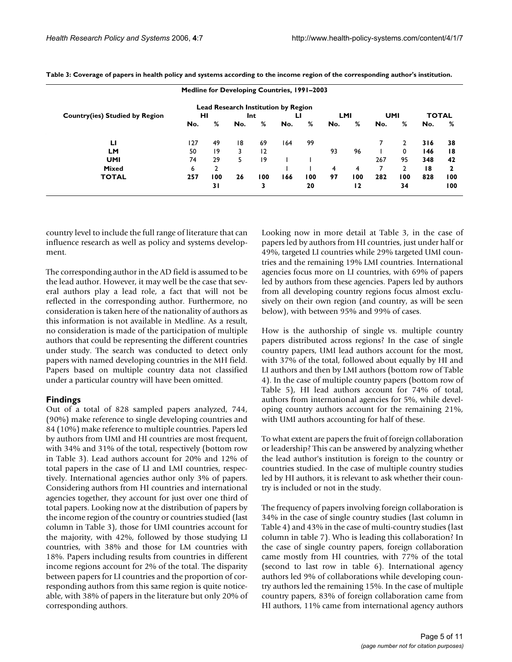|                                       | <b>Medline for Developing Countries, 1991-2003</b> |                 |     |     |                                            |     |     |            |            |                |              |              |
|---------------------------------------|----------------------------------------------------|-----------------|-----|-----|--------------------------------------------|-----|-----|------------|------------|----------------|--------------|--------------|
|                                       |                                                    |                 |     |     | <b>Lead Research Institution by Region</b> |     |     |            |            |                |              |              |
| <b>Country(ies) Studied by Region</b> |                                                    | нı              |     | Int | ш                                          |     |     | <b>LMI</b> | <b>UMI</b> |                | <b>TOTAL</b> |              |
|                                       | No.                                                | %               | No. | %   | No.                                        | %   | No. | %          | No.        | %              | No.          | %            |
| ы                                     | 127                                                | 49              | 18  | 69  | 164                                        | 99  |     |            |            | 2              | 316          | 38           |
| LM                                    | 50                                                 | $\overline{19}$ | 3   | 2   |                                            |     | 93  | 96         |            | 0              | 146          | 18           |
| <b>UMI</b>                            | 74                                                 | 29              | 5.  | 19  |                                            |     |     |            | 267        | 95             | 348          | 42           |
| <b>Mixed</b>                          | 6                                                  | $\mathbf{2}$    |     |     |                                            |     | 4   | 4          | 7          | $\overline{2}$ | 18           | $\mathbf{2}$ |
| <b>TOTAL</b>                          | 257                                                | 100             | 26  | 100 | 166                                        | 100 | 97  | 100        | 282        | 100            | 828          | 100          |
|                                       |                                                    | 31              |     | 3   |                                            | 20  |     | 12         |            | 34             |              | 100          |

**Table 3: Coverage of papers in health policy and systems according to the income region of the corresponding author's institution.**

country level to include the full range of literature that can influence research as well as policy and systems development.

The corresponding author in the AD field is assumed to be the lead author. However, it may well be the case that several authors play a lead role, a fact that will not be reflected in the corresponding author. Furthermore, no consideration is taken here of the nationality of authors as this information is not available in Medline. As a result, no consideration is made of the participation of multiple authors that could be representing the different countries under study. The search was conducted to detect only papers with named developing countries in the MH field. Papers based on multiple country data not classified under a particular country will have been omitted.

## **Findings**

Out of a total of 828 sampled papers analyzed, 744, (90%) make reference to single developing countries and 84 (10%) make reference to multiple countries. Papers led by authors from UMI and HI countries are most frequent, with 34% and 31% of the total, respectively (bottom row in Table 3). Lead authors account for 20% and 12% of total papers in the case of LI and LMI countries, respectively. International agencies author only 3% of papers. Considering authors from HI countries and international agencies together, they account for just over one third of total papers. Looking now at the distribution of papers by the income region of the country or countries studied (last column in Table 3), those for UMI countries account for the majority, with 42%, followed by those studying LI countries, with 38% and those for LM countries with 18%. Papers including results from countries in different income regions account for 2% of the total. The disparity between papers for LI countries and the proportion of corresponding authors from this same region is quite noticeable, with 38% of papers in the literature but only 20% of corresponding authors.

Looking now in more detail at Table 3, in the case of papers led by authors from HI countries, just under half or 49%, targeted LI countries while 29% targeted UMI countries and the remaining 19% LMI countries. International agencies focus more on LI countries, with 69% of papers led by authors from these agencies. Papers led by authors from all developing country regions focus almost exclusively on their own region (and country, as will be seen below), with between 95% and 99% of cases.

How is the authorship of single vs. multiple country papers distributed across regions? In the case of single country papers, UMI lead authors account for the most, with 37% of the total, followed about equally by HI and LI authors and then by LMI authors (bottom row of Table 4). In the case of multiple country papers (bottom row of Table 5), HI lead authors account for 74% of total, authors from international agencies for 5%, while developing country authors account for the remaining 21%, with UMI authors accounting for half of these.

To what extent are papers the fruit of foreign collaboration or leadership? This can be answered by analyzing whether the lead author's institution is foreign to the country or countries studied. In the case of multiple country studies led by HI authors, it is relevant to ask whether their country is included or not in the study.

The frequency of papers involving foreign collaboration is 34% in the case of single country studies (last column in Table 4) and 43% in the case of multi-country studies (last column in table 7). Who is leading this collaboration? In the case of single country papers, foreign collaboration came mostly from HI countries, with 77% of the total (second to last row in table 6). International agency authors led 9% of collaborations while developing country authors led the remaining 15%. In the case of multiple country papers, 83% of foreign collaboration came from HI authors, 11% came from international agency authors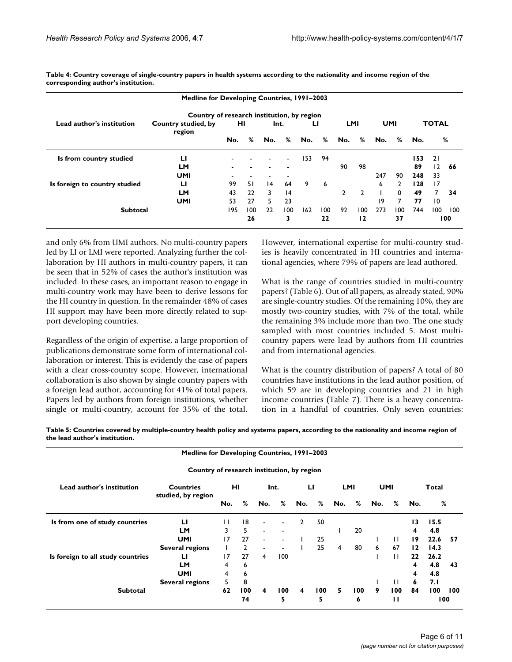**Medline for Developing Countries, 1991–2003 Country of research institution, by region Lead author's institution Country studied, by region HI Int. LI LMI UMI TOTAL No. % No. % No. % No. % No. % No. % Is from country studied LI 153** 21 **LM** - - - - 90 98 **89** 12 **66 UMI** - - - - 247 90 **248** 33 **Is foreign to country studied LI** 99 51 14 64 9 6 6 2 **128** 17 **LM** 43 22 3 14 2 2 1 0 **49** 7 **34 UMI** 53 27 5 23 19 7 **77** 10 **Subtotal** 195 100 22 100 162 100 92 100 273 100 744 100 100 **26 3 22 12 37 100**

**Table 4: Country coverage of single-country papers in health systems according to the nationality and income region of the corresponding author's institution.**

and only 6% from UMI authors. No multi-country papers led by LI or LMI were reported. Analyzing further the collaboration by HI authors in multi-country papers, it can be seen that in 52% of cases the author's institution was included. In these cases, an important reason to engage in multi-country work may have been to derive lessons for the HI country in question. In the remainder 48% of cases HI support may have been more directly related to support developing countries.

Regardless of the origin of expertise, a large proportion of publications demonstrate some form of international collaboration or interest. This is evidently the case of papers with a clear cross-country scope. However, international collaboration is also shown by single country papers with a foreign lead author, accounting for 41% of total papers. Papers led by authors from foreign institutions, whether single or multi-country, account for 35% of the total. However, international expertise for multi-country studies is heavily concentrated in HI countries and international agencies, where 79% of papers are lead authored.

What is the range of countries studied in multi-country papers? (Table 6). Out of all papers, as already stated, 90% are single-country studies. Of the remaining 10%, they are mostly two-country studies, with 7% of the total, while the remaining 3% include more than two. The one study sampled with most countries included 5. Most multicountry papers were lead by authors from HI countries and from international agencies.

What is the country distribution of papers? A total of 80 countries have institutions in the lead author position, of which 59 are in developing countries and 21 in high income countries (Table 7). There is a heavy concentration in a handful of countries. Only seven countries:

**Table 5: Countries covered by multiple-country health policy and systems papers, according to the nationality and income region of the lead author's institution.**

|                                            | <b>Medline for Developing Countries, 1991-2003</b> |              |                |                |                          |     |     |            |     |            |              |         |      |     |
|--------------------------------------------|----------------------------------------------------|--------------|----------------|----------------|--------------------------|-----|-----|------------|-----|------------|--------------|---------|------|-----|
| Country of research institution, by region |                                                    |              |                |                |                          |     |     |            |     |            |              |         |      |     |
| Lead author's institution                  | <b>Countries</b><br>studied, by region             | нı           |                | Int.           |                          | п   |     | <b>LMI</b> |     | <b>UMI</b> |              | Total   |      |     |
|                                            |                                                    | No.          | %              | No.            | %                        | No. | %   | No.        | %   | No.        | %            | No.     | %    |     |
| Is from one of study countries             | ы                                                  | $\mathbf{H}$ | 18             | ٠              | $\overline{\phantom{0}}$ | 2   | 50  |            |     |            |              | 13      | 15.5 |     |
|                                            | <b>LM</b>                                          | 3            | 5              | $\blacksquare$ | $\overline{\phantom{a}}$ |     |     |            | 20  |            |              | 4       | 4.8  |     |
|                                            | <b>UMI</b>                                         | 17           | 27             | $\blacksquare$ | $\blacksquare$           |     | 25  |            |     |            | $\mathbf{H}$ | 19      | 22.6 | -57 |
|                                            | <b>Several regions</b>                             |              | $\overline{2}$ | $\blacksquare$ | $\blacksquare$           |     | 25  | 4          | 80  | 6          | 67           | $12 \,$ | 14.3 |     |
| Is foreign to all study countries          | ы                                                  | 17           | 27             | 4              | 100                      |     |     |            |     |            | $\mathbf{H}$ | 22      | 26.2 |     |
|                                            | <b>LM</b>                                          | 4            | 6              |                |                          |     |     |            |     |            |              | 4       | 4.8  | 43  |
|                                            | <b>UMI</b>                                         | 4            | 6              |                |                          |     |     |            |     |            |              | 4       | 4.8  |     |
|                                            | <b>Several regions</b>                             | 5            | 8              |                |                          |     |     |            |     |            | $\mathbf{H}$ | 6       | 7. I |     |
| <b>Subtotal</b>                            |                                                    | 62           | 100            | 4              | 100                      | 4   | 100 | 5.         | 100 | 9          | 100          | 84      | 100  | 100 |
|                                            |                                                    |              | 74             |                | 5                        |     | 5   |            | 6   |            | $\mathbf{H}$ |         |      | 100 |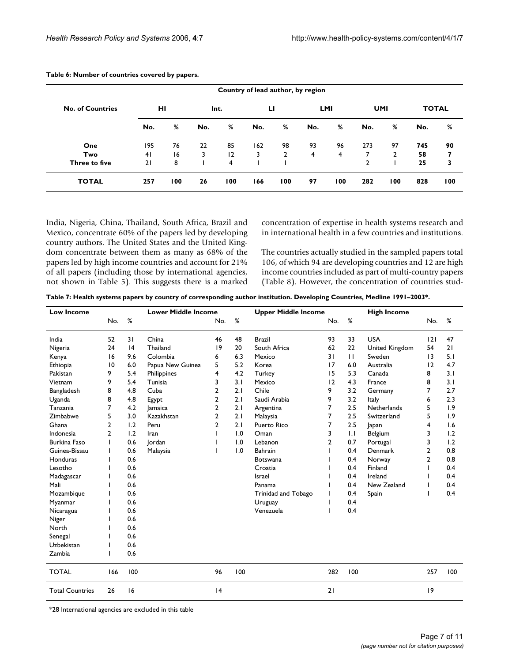|                         |     |     |     |      | Country of lead author, by region |              |                |     |            |     |     |              |
|-------------------------|-----|-----|-----|------|-----------------------------------|--------------|----------------|-----|------------|-----|-----|--------------|
| <b>No. of Countries</b> |     | нı  |     | Int. | Ы                                 |              | <b>LMI</b>     |     | <b>UMI</b> |     |     | <b>TOTAL</b> |
|                         | No. | %   | No. | %    | No.                               | %            | No.            | %   | No.        | %   | No. | %            |
| One                     | 195 | 76  | 22  | 85   | 162                               | 98           | 93             | 96  | 273        | 97  | 745 | 90           |
| Two                     | 41  | 16  | 3   | 12   | 3                                 | $\mathbf{2}$ | $\overline{4}$ | 4   | 7          | 2   | 58  | 7            |
| Three to five           | 21  | 8   |     | 4    |                                   |              |                |     | 2          |     | 25  | 3            |
| <b>TOTAL</b>            | 257 | 100 | 26  | 100  | 166                               | 100          | 97             | 100 | 282        | 100 | 828 | 100          |

#### **Table 6: Number of countries covered by papers.**

India, Nigeria, China, Thailand, South Africa, Brazil and Mexico, concentrate 60% of the papers led by developing country authors. The United States and the United Kingdom concentrate between them as many as 68% of the papers led by high income countries and account for 21% of all papers (including those by international agencies, not shown in Table 5). This suggests there is a marked

concentration of expertise in health systems research and in international health in a few countries and institutions.

The countries actually studied in the sampled papers total 106, of which 94 are developing countries and 12 are high income countries included as part of multi-country papers (Table 8). However, the concentration of countries stud-

| Table 7: Health systems papers by country of corresponding author institution. Developing Countries, Medline 1991–2003*. |  |  |
|--------------------------------------------------------------------------------------------------------------------------|--|--|
|--------------------------------------------------------------------------------------------------------------------------|--|--|

| <b>Low Income</b>      |                |     | <b>Lower Middle Income</b> |                |     | <b>Upper Middle Income</b> |     |              | <b>High Income</b> |                 |     |
|------------------------|----------------|-----|----------------------------|----------------|-----|----------------------------|-----|--------------|--------------------|-----------------|-----|
|                        | No.            | %   |                            | No.            | %   |                            | No. | %            |                    | No.             | %   |
| India                  | 52             | 31  | China                      | 46             | 48  | <b>Brazil</b>              | 93  | 33           | <b>USA</b>         | 2               | 47  |
| Nigeria                | 24             | 4   | Thailand                   | 19             | 20  | South Africa               | 62  | 22           | United Kingdom     | 54              | 21  |
| Kenya                  | 16             | 9.6 | Colombia                   | 6              | 6.3 | Mexico                     | 31  | $\mathbf{H}$ | Sweden             | $\overline{13}$ | 5.1 |
| Ethiopia               | 10             | 6.0 | Papua New Guinea           | 5              | 5.2 | Korea                      | 17  | 6.0          | Australia          | 12              | 4.7 |
| Pakistan               | 9              | 5.4 | Philippines                | 4              | 4.2 | Turkey                     | 15  | 5.3          | Canada             | 8               | 3.1 |
| Vietnam                | 9              | 5.4 | Tunisia                    | 3              | 3.1 | Mexico                     | 12  | 4.3          | France             | 8               | 3.1 |
| Bangladesh             | 8              | 4.8 | Cuba                       | $\overline{2}$ | 2.1 | Chile                      | 9   | 3.2          | Germany            | 7               | 2.7 |
| Uganda                 | 8              | 4.8 | Egypt                      | 2              | 2.1 | Saudi Arabia               | 9   | 3.2          | Italy              | 6               | 2.3 |
| Tanzania               | 7              | 4.2 | lamaica                    | 2              | 2.1 | Argentina                  | 7   | 2.5          | Netherlands        | 5               | 1.9 |
| Zimbabwe               | 5              | 3.0 | Kazakhstan                 | $\overline{2}$ | 2.1 | Malaysia                   | 7   | 2.5          | Switzerland        | 5               | 1.9 |
| Ghana                  | $\overline{2}$ | 1.2 | Peru                       | $\overline{2}$ | 2.1 | Puerto Rico                | 7   | 2.5          | Japan              | 4               | 1.6 |
| Indonesia              | $\overline{2}$ | 1.2 | Iran                       |                | 1.0 | Oman                       | 3   | $\mathbf{L}$ | Belgium            | 3               | 1.2 |
| <b>Burkina Faso</b>    |                | 0.6 | lordan                     |                | 1.0 | Lebanon                    | 2   | 0.7          | Portugal           | 3               | 1.2 |
| Guinea-Bissau          |                | 0.6 | Malaysia                   |                | 1.0 | Bahrain                    |     | 0.4          | Denmark            | 2               | 0.8 |
| Honduras               |                | 0.6 |                            |                |     | Botswana                   |     | 0.4          | Norway             | 2               | 0.8 |
| Lesotho                |                | 0.6 |                            |                |     | Croatia                    |     | 0.4          | Finland            |                 | 0.4 |
| Madagascar             |                | 0.6 |                            |                |     | <b>Israel</b>              |     | 0.4          | Ireland            |                 | 0.4 |
| Mali                   |                | 0.6 |                            |                |     | Panama                     |     | 0.4          | New Zealand        |                 | 0.4 |
| Mozambique             |                | 0.6 |                            |                |     | Trinidad and Tobago        |     | 0.4          | Spain              |                 | 0.4 |
| Myanmar                |                | 0.6 |                            |                |     | Uruguay                    |     | 0.4          |                    |                 |     |
| Nicaragua              |                | 0.6 |                            |                |     | Venezuela                  |     | 0.4          |                    |                 |     |
| Niger                  |                | 0.6 |                            |                |     |                            |     |              |                    |                 |     |
| North                  |                | 0.6 |                            |                |     |                            |     |              |                    |                 |     |
| Senegal                |                | 0.6 |                            |                |     |                            |     |              |                    |                 |     |
| Uzbekistan             |                | 0.6 |                            |                |     |                            |     |              |                    |                 |     |
| Zambia                 |                | 0.6 |                            |                |     |                            |     |              |                    |                 |     |
| <b>TOTAL</b>           | 166            | 100 |                            | 96             | 100 |                            | 282 | 100          |                    | 257             | 100 |
| <b>Total Countries</b> | 26             | 16  |                            | 4              |     |                            | 21  |              |                    | 19              |     |

\*28 International agencies are excluded in this table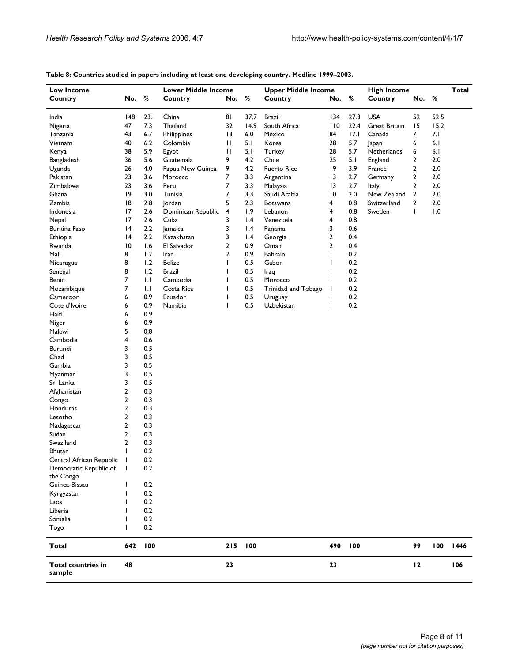| Low Income<br>Country        | No.            | $\%$ | <b>Lower Middle Income</b><br>Country | No.             | %    | <b>Upper Middle Income</b><br>Country | No.                     | $\%$ | <b>High Income</b><br>Country | No.            | %    | Total |
|------------------------------|----------------|------|---------------------------------------|-----------------|------|---------------------------------------|-------------------------|------|-------------------------------|----------------|------|-------|
|                              |                |      |                                       |                 |      |                                       |                         |      |                               |                |      |       |
| India                        | 148            | 23.1 | China                                 | 81              | 37.7 | <b>Brazil</b>                         | 134                     | 27.3 | <b>USA</b>                    | 52             | 52.5 |       |
| Nigeria                      | 47             | 7.3  | Thailand                              | 32              | 14.9 | South Africa                          | 110                     | 22.4 | <b>Great Britain</b>          | 15             | 15.2 |       |
| Tanzania                     | 43             | 6.7  | Philippines                           | $\overline{13}$ | 6.0  | Mexico                                | 84                      | 17.1 | Canada                        | 7              | 7.1  |       |
| Vietnam                      | 40             | 6.2  | Colombia                              | $\mathbf{H}$    | 5.1  | Korea                                 | 28                      | 5.7  | Japan                         | 6              | 6.1  |       |
| Kenya                        | 38             | 5.9  | Egypt                                 | $\mathbf{H}$    | 5.1  | Turkey                                | 28                      | 5.7  | Netherlands                   | 6              | 6. I |       |
| Bangladesh                   | 36             | 5.6  | Guatemala                             | 9               | 4.2  | Chile                                 | 25                      | 5.1  | England                       | 2              | 2.0  |       |
| Uganda                       | 26             | 4.0  | Papua New Guinea                      | 9               | 4.2  | Puerto Rico                           | 9                       | 3.9  | France                        | $\overline{2}$ | 2.0  |       |
| Pakistan                     | 23             | 3.6  | Morocco                               | 7               | 3.3  | Argentina                             | 13                      | 2.7  | Germany                       | 2              | 2.0  |       |
| Zimbabwe                     | 23             | 3.6  | Peru                                  | 7               | 3.3  | Malaysia                              | 13                      | 2.7  | Italy                         | $\mathbf{2}$   | 2.0  |       |
| Ghana                        | 19             | 3.0  | Tunisia                               | 7               | 3.3  | Saudi Arabia                          | 10                      | 2.0  | New Zealand                   | $\overline{2}$ | 2.0  |       |
| Zambia                       | 18             | 2.8  | Jordan                                | 5               | 2.3  | Botswana                              | 4                       | 0.8  | Switzerland                   | $\mathbf{2}$   | 2.0  |       |
| Indonesia                    | 17             | 2.6  | Dominican Republic                    | $\overline{4}$  | 1.9  | Lebanon                               | 4                       | 0.8  | Sweden                        | $\mathbf{I}$   | 1.0  |       |
| Nepal                        | 17             | 2.6  | Cuba                                  | 3               | 1.4  | Venezuela                             | 4                       | 0.8  |                               |                |      |       |
| Burkina Faso                 | 4              | 2.2  | Jamaica                               | 3               | 1.4  | Panama                                | 3                       | 0.6  |                               |                |      |       |
| Ethiopia                     | 4              | 2.2  | Kazakhstan                            | 3               | 1.4  | Georgia                               | $\overline{\mathbf{c}}$ | 0.4  |                               |                |      |       |
| Rwanda                       | 10             | 1.6  | El Salvador                           | $\overline{2}$  | 0.9  | Oman                                  | $\overline{2}$          | 0.4  |                               |                |      |       |
| Mali                         | 8              | 1.2  | Iran                                  | $\overline{2}$  | 0.9  | Bahrain                               | I                       | 0.2  |                               |                |      |       |
| Nicaragua                    | 8              | 1.2  | <b>Belize</b>                         | ı               | 0.5  | Gabon                                 | I                       | 0.2  |                               |                |      |       |
| Senegal                      | 8              | 1.2  | <b>Brazil</b>                         | ı               | 0.5  | Iraq                                  | T                       | 0.2  |                               |                |      |       |
| <b>Benin</b>                 | 7              | 1.1  | Cambodia                              | ı               | 0.5  | Morocco                               | T                       | 0.2  |                               |                |      |       |
| Mozambique                   | 7              | 1.1  | Costa Rica                            | T               | 0.5  | Trinidad and Tobago                   | $\mathbf{I}$            | 0.2  |                               |                |      |       |
| Cameroon                     | 6              | 0.9  | Ecuador                               | I               | 0.5  | Uruguay                               | ı                       | 0.2  |                               |                |      |       |
| Cote d'Ivoire                | 6              | 0.9  | Namibia                               | I.              | 0.5  | Uzbekistan                            | T                       | 0.2  |                               |                |      |       |
| Haiti                        | 6              | 0.9  |                                       |                 |      |                                       |                         |      |                               |                |      |       |
| Niger                        | 6              | 0.9  |                                       |                 |      |                                       |                         |      |                               |                |      |       |
| Malawi                       | 5              | 0.8  |                                       |                 |      |                                       |                         |      |                               |                |      |       |
| Cambodia                     | 4              | 0.6  |                                       |                 |      |                                       |                         |      |                               |                |      |       |
| Burundi                      | 3              | 0.5  |                                       |                 |      |                                       |                         |      |                               |                |      |       |
| Chad                         | 3              | 0.5  |                                       |                 |      |                                       |                         |      |                               |                |      |       |
| Gambia                       | 3              | 0.5  |                                       |                 |      |                                       |                         |      |                               |                |      |       |
| Myanmar                      | 3              | 0.5  |                                       |                 |      |                                       |                         |      |                               |                |      |       |
| Sri Lanka                    | 3              | 0.5  |                                       |                 |      |                                       |                         |      |                               |                |      |       |
| Afghanistan                  | 2              | 0.3  |                                       |                 |      |                                       |                         |      |                               |                |      |       |
| Congo                        | 2              | 0.3  |                                       |                 |      |                                       |                         |      |                               |                |      |       |
| Honduras                     | 2              | 0.3  |                                       |                 |      |                                       |                         |      |                               |                |      |       |
| Lesotho                      | 2              | 0.3  |                                       |                 |      |                                       |                         |      |                               |                |      |       |
| Madagascar                   | 2              | 0.3  |                                       |                 |      |                                       |                         |      |                               |                |      |       |
| Sudan                        | $\mathbf{2}$   | 0.3  |                                       |                 |      |                                       |                         |      |                               |                |      |       |
| Swaziland                    | $\overline{2}$ | 0.3  |                                       |                 |      |                                       |                         |      |                               |                |      |       |
| Bhutan                       | ı              | 0.2  |                                       |                 |      |                                       |                         |      |                               |                |      |       |
| Central African Republic     |                | 0.2  |                                       |                 |      |                                       |                         |      |                               |                |      |       |
| Democratic Republic of       | I.             | 0.2  |                                       |                 |      |                                       |                         |      |                               |                |      |       |
| the Congo                    |                |      |                                       |                 |      |                                       |                         |      |                               |                |      |       |
| Guinea-Bissau                |                | 0.2  |                                       |                 |      |                                       |                         |      |                               |                |      |       |
| Kyrgyzstan                   |                | 0.2  |                                       |                 |      |                                       |                         |      |                               |                |      |       |
| Laos                         |                | 0.2  |                                       |                 |      |                                       |                         |      |                               |                |      |       |
| Liberia                      |                | 0.2  |                                       |                 |      |                                       |                         |      |                               |                |      |       |
| Somalia                      |                | 0.2  |                                       |                 |      |                                       |                         |      |                               |                |      |       |
| Togo                         | ı              | 0.2  |                                       |                 |      |                                       |                         |      |                               |                |      |       |
| <b>Total</b>                 | 642            | 100  |                                       | 215             | 100  |                                       | 490                     | 100  |                               | 99             | 100  | 1446  |
| Total countries in<br>sample | 48             |      |                                       | 23              |      |                                       | 23                      |      |                               | 12             |      | 106   |

### **Table 8: Countries studied in papers including at least one developing country. Medline 1999–2003.**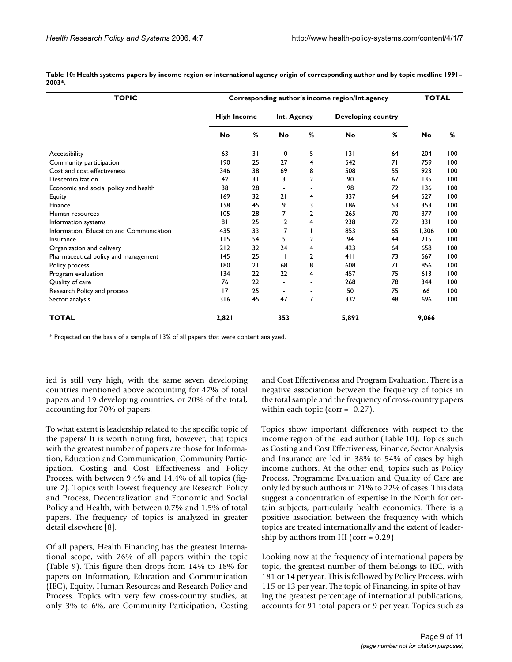| <b>TOPIC</b>                             | Corresponding author's income region/Int.agency |    | <b>TOTAL</b>             |                |                           |    |           |      |
|------------------------------------------|-------------------------------------------------|----|--------------------------|----------------|---------------------------|----|-----------|------|
|                                          | <b>High Income</b>                              |    | Int. Agency              |                | <b>Developing country</b> |    |           |      |
|                                          | No                                              | %  | <b>No</b>                | %              | <b>No</b>                 | %  | <b>No</b> | $\%$ |
| Accessibility                            | 63                                              | 31 | 10                       | 5              | 3                         | 64 | 204       | 100  |
| Community participation                  | 190                                             | 25 | 27                       | 4              | 542                       | 71 | 759       | 100  |
| Cost and cost effectiveness              | 346                                             | 38 | 69                       | 8              | 508                       | 55 | 923       | 100  |
| Descentralization                        | 42                                              | 31 | 3                        | $\overline{2}$ | 90                        | 67 | 135       | 100  |
| Economic and social policy and health    | 38                                              | 28 | $\overline{\phantom{a}}$ |                | 98                        | 72 | 136       | 100  |
| Equity                                   | 169                                             | 32 | 21                       | 4              | 337                       | 64 | 527       | 100  |
| Finance                                  | 158                                             | 45 | 9                        | 3              | 186                       | 53 | 353       | 100  |
| Human resources                          | 105                                             | 28 | 7                        | 2              | 265                       | 70 | 377       | 100  |
| Information systems                      | 81                                              | 25 | 12                       | 4              | 238                       | 72 | 331       | 100  |
| Information, Education and Communication | 435                                             | 33 | 17                       |                | 853                       | 65 | 1,306     | 100  |
| Insurance                                | 115                                             | 54 | 5                        | $\overline{2}$ | 94                        | 44 | 215       | 100  |
| Organization and delivery                | 212                                             | 32 | 24                       | 4              | 423                       | 64 | 658       | 100  |
| Pharmaceutical policy and management     | 145                                             | 25 | П                        | $\overline{2}$ | 411                       | 73 | 567       | 100  |
| Policy process                           | 180                                             | 21 | 68                       | 8              | 608                       | 71 | 856       | 100  |
| Program evaluation                       | 134                                             | 22 | 22                       | 4              | 457                       | 75 | 613       | 100  |
| Quality of care                          | 76                                              | 22 | $\overline{\phantom{a}}$ |                | 268                       | 78 | 344       | 100  |
| Research Policy and process              | 17                                              | 25 | $\overline{\phantom{a}}$ |                | 50                        | 75 | 66        | 100  |
| Sector analysis                          | 316                                             | 45 | 47                       | 7              | 332                       | 48 | 696       | 100  |
| <b>TOTAL</b>                             | 2,821                                           |    | 353                      |                | 5,892                     |    | 9,066     |      |

**Table 10: Health systems papers by income region or international agency origin of corresponding author and by topic medline 1991– 2003\*.**

\* Projected on the basis of a sample of 13% of all papers that were content analyzed.

ied is still very high, with the same seven developing countries mentioned above accounting for 47% of total papers and 19 developing countries, or 20% of the total, accounting for 70% of papers.

To what extent is leadership related to the specific topic of the papers? It is worth noting first, however, that topics with the greatest number of papers are those for Information, Education and Communication, Community Participation, Costing and Cost Effectiveness and Policy Process, with between 9.4% and 14.4% of all topics (figure 2). Topics with lowest frequency are Research Policy and Process, Decentralization and Economic and Social Policy and Health, with between 0.7% and 1.5% of total papers. The frequency of topics is analyzed in greater detail elsewhere [8].

Of all papers, Health Financing has the greatest international scope, with 26% of all papers within the topic (Table 9). This figure then drops from 14% to 18% for papers on Information, Education and Communication (IEC), Equity, Human Resources and Research Policy and Process. Topics with very few cross-country studies, at only 3% to 6%, are Community Participation, Costing and Cost Effectiveness and Program Evaluation. There is a negative association between the frequency of topics in the total sample and the frequency of cross-country papers within each topic (corr = -0.27).

Topics show important differences with respect to the income region of the lead author (Table 10). Topics such as Costing and Cost Effectiveness, Finance, Sector Analysis and Insurance are led in 38% to 54% of cases by high income authors. At the other end, topics such as Policy Process, Programme Evaluation and Quality of Care are only led by such authors in 21% to 22% of cases. This data suggest a concentration of expertise in the North for certain subjects, particularly health economics. There is a positive association between the frequency with which topics are treated internationally and the extent of leadership by authors from HI (corr =  $0.29$ ).

Looking now at the frequency of international papers by topic, the greatest number of them belongs to IEC, with 181 or 14 per year. This is followed by Policy Process, with 115 or 13 per year. The topic of Financing, in spite of having the greatest percentage of international publications, accounts for 91 total papers or 9 per year. Topics such as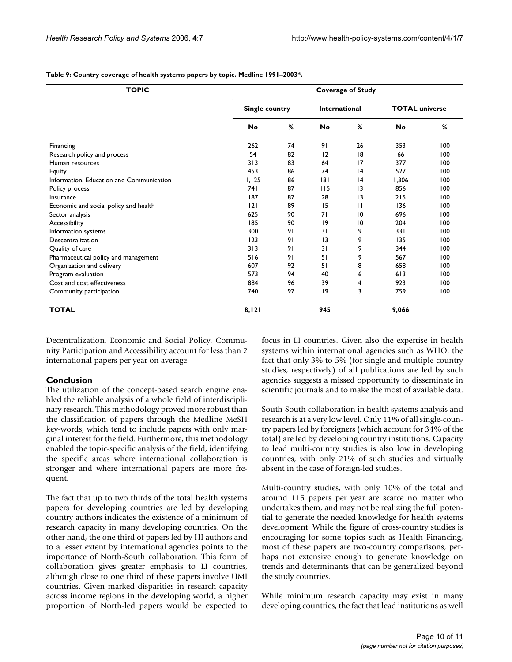| <b>TOPIC</b>                             |                       |    |                      | <b>Coverage of Study</b> |                       |     |
|------------------------------------------|-----------------------|----|----------------------|--------------------------|-----------------------|-----|
|                                          | <b>Single country</b> |    | <b>International</b> |                          | <b>TOTAL universe</b> |     |
|                                          | <b>No</b>             | %  | <b>No</b>            | %                        | <b>No</b>             | %   |
| Financing                                | 262                   | 74 | 91                   | 26                       | 353                   | 100 |
| Research policy and process              | 54                    | 82 | 12                   | 8                        | 66                    | 100 |
| Human resources                          | 313                   | 83 | 64                   | $\overline{17}$          | 377                   | 100 |
| Equity                                   | 453                   | 86 | 74                   | 4                        | 527                   | 100 |
| Information, Education and Communication | 1,125                 | 86 | 8                    | 4                        | 1,306                 | 100 |
| Policy process                           | 74 I                  | 87 | 115                  | $\overline{13}$          | 856                   | 100 |
| Insurance                                | 187                   | 87 | 28                   | 13                       | 215                   | 100 |
| Economic and social policy and health    | 2                     | 89 | 15                   | $\mathbf{H}$             | 136                   | 100 |
| Sector analysis                          | 625                   | 90 | 71                   | $\overline{10}$          | 696                   | 100 |
| Accessibility                            | 185                   | 90 | 19                   | $\overline{0}$           | 204                   | 100 |
| Information systems                      | 300                   | 91 | 31                   | 9                        | 331                   | 100 |
| Descentralization                        | 123                   | 91 | 13                   | 9                        | 135                   | 100 |
| Quality of care                          | 313                   | 91 | 31                   | 9                        | 344                   | 100 |
| Pharmaceutical policy and management     | 516                   | 91 | 51                   | 9                        | 567                   | 100 |
| Organization and delivery                | 607                   | 92 | 51                   | 8                        | 658                   | 100 |
| Program evaluation                       | 573                   | 94 | 40                   | 6                        | 613                   | 100 |
| Cost and cost effectiveness              | 884                   | 96 | 39                   | 4                        | 923                   | 100 |
| Community participation                  | 740                   | 97 | 9                    | 3                        | 759                   | 100 |
| <b>TOTAL</b>                             | 8,121                 |    | 945                  |                          | 9,066                 |     |

**Table 9: Country coverage of health systems papers by topic. Medline 1991–2003\*.**

Decentralization, Economic and Social Policy, Community Participation and Accessibility account for less than 2 international papers per year on average.

## **Conclusion**

The utilization of the concept-based search engine enabled the reliable analysis of a whole field of interdisciplinary research. This methodology proved more robust than the classification of papers through the Medline MeSH key-words, which tend to include papers with only marginal interest for the field. Furthermore, this methodology enabled the topic-specific analysis of the field, identifying the specific areas where international collaboration is stronger and where international papers are more frequent.

The fact that up to two thirds of the total health systems papers for developing countries are led by developing country authors indicates the existence of a minimum of research capacity in many developing countries. On the other hand, the one third of papers led by HI authors and to a lesser extent by international agencies points to the importance of North-South collaboration. This form of collaboration gives greater emphasis to LI countries, although close to one third of these papers involve UMI countries. Given marked disparities in research capacity across income regions in the developing world, a higher proportion of North-led papers would be expected to focus in LI countries. Given also the expertise in health systems within international agencies such as WHO, the fact that only 3% to 5% (for single and multiple country studies, respectively) of all publications are led by such agencies suggests a missed opportunity to disseminate in scientific journals and to make the most of available data.

South-South collaboration in health systems analysis and research is at a very low level. Only 11% of all single-country papers led by foreigners (which account for 34% of the total) are led by developing country institutions. Capacity to lead multi-country studies is also low in developing countries, with only 21% of such studies and virtually absent in the case of foreign-led studies.

Multi-country studies, with only 10% of the total and around 115 papers per year are scarce no matter who undertakes them, and may not be realizing the full potential to generate the needed knowledge for health systems development. While the figure of cross-country studies is encouraging for some topics such as Health Financing, most of these papers are two-country comparisons, perhaps not extensive enough to generate knowledge on trends and determinants that can be generalized beyond the study countries.

While minimum research capacity may exist in many developing countries, the fact that lead institutions as well